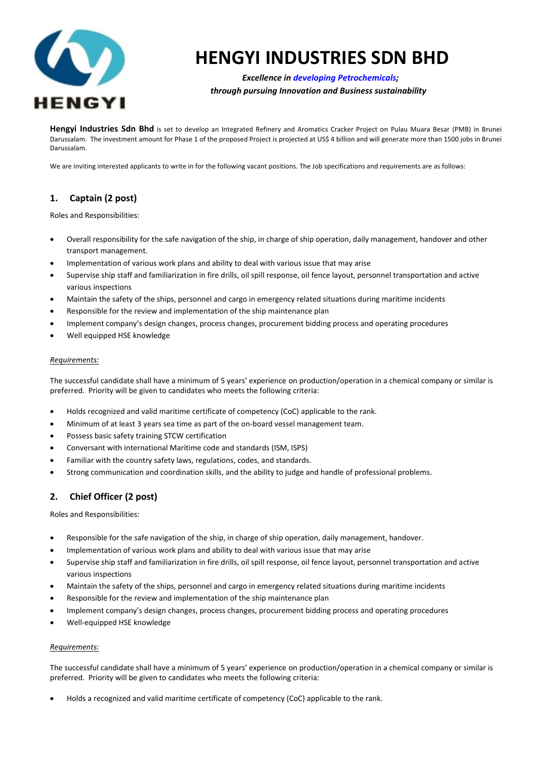

# **HENGYI INDUSTRIES SDN BHD**

## *Excellence in developing Petrochemicals; through pursuing Innovation and Business sustainability*

**Hengyi Industries Sdn Bhd** is set to develop an Integrated Refinery and Aromatics Cracker Project on Pulau Muara Besar (PMB) in Brunei Darussalam. The investment amount for Phase 1 of the proposed Project is projected at US\$ 4 billion and will generate more than 1500 jobs in Brunei Darussalam.

We are inviting interested applicants to write in for the following vacant positions. The Job specifications and requirements are as follows:

## **1. Captain (2 post)**

Roles and Responsibilities:

- Overall responsibility for the safe navigation of the ship, in charge of ship operation, daily management, handover and other transport management.
- Implementation of various work plans and ability to deal with various issue that may arise
- Supervise ship staff and familiarization in fire drills, oil spill response, oil fence layout, personnel transportation and active various inspections
- Maintain the safety of the ships, personnel and cargo in emergency related situations during maritime incidents
- Responsible for the review and implementation of the ship maintenance plan
- Implement company's design changes, process changes, procurement bidding process and operating procedures
- Well equipped HSE knowledge

### *Requirements:*

The successful candidate shall have a minimum of 5 years' experience on production/operation in a chemical company or similar is preferred. Priority will be given to candidates who meets the following criteria:

- Holds recognized and valid maritime certificate of competency (CoC) applicable to the rank.
- Minimum of at least 3 years sea time as part of the on-board vessel management team.
- Possess basic safety training STCW certification
- Conversant with international Maritime code and standards (ISM, ISPS)
- Familiar with the country safety laws, regulations, codes, and standards.
- Strong communication and coordination skills, and the ability to judge and handle of professional problems.

## **2. Chief Officer (2 post)**

Roles and Responsibilities:

- Responsible for the safe navigation of the ship, in charge of ship operation, daily management, handover.
- Implementation of various work plans and ability to deal with various issue that may arise
- Supervise ship staff and familiarization in fire drills, oil spill response, oil fence layout, personnel transportation and active various inspections
- Maintain the safety of the ships, personnel and cargo in emergency related situations during maritime incidents
- Responsible for the review and implementation of the ship maintenance plan
- Implement company's design changes, process changes, procurement bidding process and operating procedures
- Well-equipped HSE knowledge

#### *Requirements:*

The successful candidate shall have a minimum of 5 years' experience on production/operation in a chemical company or similar is preferred. Priority will be given to candidates who meets the following criteria:

• Holds a recognized and valid maritime certificate of competency (CoC) applicable to the rank.